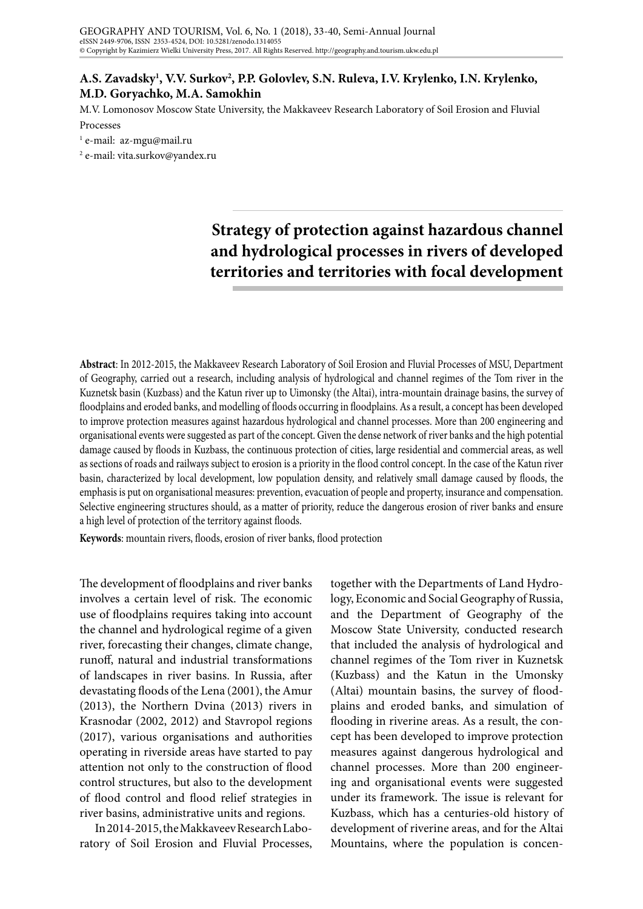## A.S. Zavadsky<sup>1</sup>, V.V. Surkov<sup>2</sup>, P.P. Golovlev, S.N. Ruleva, I.V. Krylenko, I.N. Krylenko, **M.D. Goryachko, M.A. Samokhin**

M.V. Lomonosov Moscow State University, the Makkaveev Research Laboratory of Soil Erosion and Fluvial

Processes

1 e-mail: az-mgu@mail.ru

2 e-mail: vita.surkov@yandex.ru

## **Strategy of protection against hazardous channel and hydrological processes in rivers of developed territories and territories with focal development**

**Abstract**: In 2012-2015, the Makkaveev Research Laboratory of Soil Erosion and Fluvial Processes of MSU, Department of Geography, carried out a research, including analysis of hydrological and channel regimes of the Tom river in the Kuznetsk basin (Kuzbass) and the Katun river up to Uimonsky (the Altai), intra-mountain drainage basins, the survey of floodplains and eroded banks, and modelling of floods occurring in floodplains. As a result, a concept has been developed to improve protection measures against hazardous hydrological and channel processes. More than 200 engineering and organisational events were suggested as part of the concept. Given the dense network of river banks and the high potential damage caused by floods in Kuzbass, the continuous protection of cities, large residential and commercial areas, as well as sections of roads and railways subject to erosion is a priority in the flood control concept. In the case of the Katun river basin, characterized by local development, low population density, and relatively small damage caused by floods, the emphasis is put on organisational measures: prevention, evacuation of people and property, insurance and compensation. Selective engineering structures should, as a matter of priority, reduce the dangerous erosion of river banks and ensure a high level of protection of the territory against floods.

**Keywords**: mountain rivers, floods, erosion of river banks, flood protection

The development of floodplains and river banks involves a certain level of risk. The economic use of floodplains requires taking into account the channel and hydrological regime of a given river, forecasting their changes, climate change, runoff, natural and industrial transformations of landscapes in river basins. In Russia, after devastating floods of the Lena (2001), the Amur (2013), the Northern Dvina (2013) rivers in Krasnodar (2002, 2012) and Stavropol regions (2017), various organisations and authorities operating in riverside areas have started to pay attention not only to the construction of flood control structures, but also to the development of flood control and flood relief strategies in river basins, administrative units and regions.

In 2014-2015, the Makkaveev Research Laboratory of Soil Erosion and Fluvial Processes,

together with the Departments of Land Hydrology, Economic and Social Geography of Russia, and the Department of Geography of the Moscow State University, conducted research that included the analysis of hydrological and channel regimes of the Tom river in Kuznetsk (Kuzbass) and the Katun in the Umonsky (Altai) mountain basins, the survey of floodplains and eroded banks, and simulation of flooding in riverine areas. As a result, the concept has been developed to improve protection measures against dangerous hydrological and channel processes. More than 200 engineering and organisational events were suggested under its framework. The issue is relevant for Kuzbass, which has a centuries-old history of development of riverine areas, and for the Altai Mountains, where the population is concen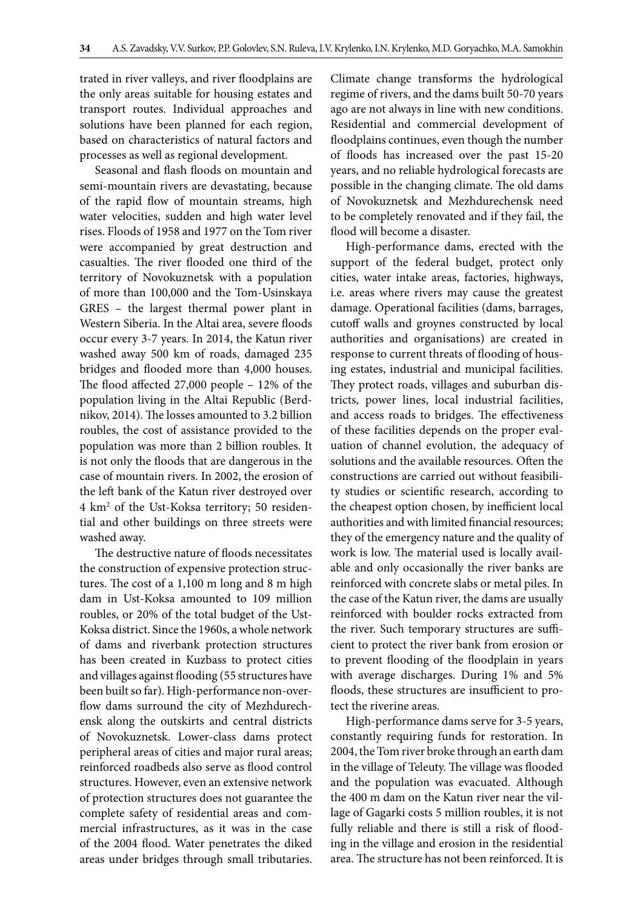trated in river valleys, and river floodplains are the only areas suitable for housing estates and transport routes. Individual approaches and solutions have been planned for each region, based on characteristics of natural factors and processes as well as regional development.

Seasonal and flash floods on mountain and semi-mountain rivers are devastating, because of the rapid flow of mountain streams, high water velocities, sudden and high water level rises. Floods of 1958 and 1977 on the Tom river were accompanied by great destruction and casualties. The river flooded one third of the territory of Novokuznetsk with a population of more than 100,000 and the Tom-Usinskaya GRES – the largest thermal power plant in Western Siberia. In the Altai area, severe floods occur every 3-7 years. In 2014, the Katun river washed away 500 km of roads, damaged 235 bridges and flooded more than 4,000 houses. The flood affected 27,000 people – 12% of the population living in the Altai Republic (Berdnikov, 2014). The losses amounted to 3.2 billion roubles, the cost of assistance provided to the population was more than 2 billion roubles. It is not only the floods that are dangerous in the case of mountain rivers. In 2002, the erosion of the left bank of the Katun river destroyed over 4 km2 of the Ust-Koksa territory; 50 residential and other buildings on three streets were washed away.

The destructive nature of floods necessitates the construction of expensive protection structures. The cost of a 1,100 m long and 8 m high dam in Ust-Koksa amounted to 109 million roubles, or 20% of the total budget of the Ust-Koksa district. Since the 1960s, a whole network of dams and riverbank protection structures has been created in Kuzbass to protect cities and villages against flooding (55 structures have been built so far). High-performance non-overflow dams surround the city of Mezhdurechensk along the outskirts and central districts of Novokuznetsk. Lower-class dams protect peripheral areas of cities and major rural areas; reinforced roadbeds also serve as flood control structures. However, even an extensive network of protection structures does not guarantee the complete safety of residential areas and commercial infrastructures, as it was in the case of the 2004 flood. Water penetrates the diked areas under bridges through small tributaries.

Climate change transforms the hydrological regime of rivers, and the dams built 50-70 years ago are not always in line with new conditions. Residential and commercial development of floodplains continues, even though the number of floods has increased over the past 15-20 years, and no reliable hydrological forecasts are possible in the changing climate. The old dams of Novokuznetsk and Mezhdurechensk need to be completely renovated and if they fail, the flood will become a disaster.

High-performance dams, erected with the support of the federal budget, protect only cities, water intake areas, factories, highways, i.e. areas where rivers may cause the greatest damage. Operational facilities (dams, barrages, cutoff walls and groynes constructed by local authorities and organisations) are created in response to current threats of flooding of housing estates, industrial and municipal facilities. They protect roads, villages and suburban districts, power lines, local industrial facilities, and access roads to bridges. The effectiveness of these facilities depends on the proper evaluation of channel evolution, the adequacy of solutions and the available resources. Often the constructions are carried out without feasibility studies or scientific research, according to the cheapest option chosen, by inefficient local authorities and with limited financial resources; they of the emergency nature and the quality of work is low. The material used is locally available and only occasionally the river banks are reinforced with concrete slabs or metal piles. In the case of the Katun river, the dams are usually reinforced with boulder rocks extracted from the river. Such temporary structures are sufficient to protect the river bank from erosion or to prevent flooding of the floodplain in years with average discharges. During 1% and 5% floods, these structures are insufficient to protect the riverine areas.

High-performance dams serve for 3-5 years, constantly requiring funds for restoration. In 2004, the Tom river broke through an earth dam in the village of Teleuty. The village was flooded and the population was evacuated. Although the 400 m dam on the Katun river near the village of Gagarki costs 5 million roubles, it is not fully reliable and there is still a risk of flooding in the village and erosion in the residential area. The structure has not been reinforced. It is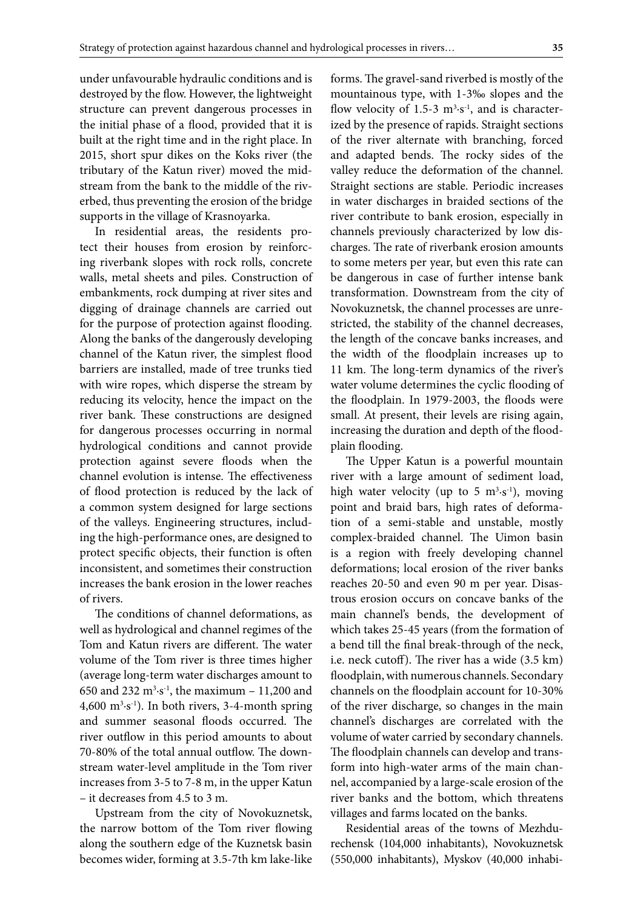under unfavourable hydraulic conditions and is destroyed by the flow. However, the lightweight structure can prevent dangerous processes in the initial phase of a flood, provided that it is built at the right time and in the right place. In 2015, short spur dikes on the Koks river (the tributary of the Katun river) moved the midstream from the bank to the middle of the riverbed, thus preventing the erosion of the bridge supports in the village of Krasnoyarka.

In residential areas, the residents protect their houses from erosion by reinforcing riverbank slopes with rock rolls, concrete walls, metal sheets and piles. Construction of embankments, rock dumping at river sites and digging of drainage channels are carried out for the purpose of protection against flooding. Along the banks of the dangerously developing channel of the Katun river, the simplest flood barriers are installed, made of tree trunks tied with wire ropes, which disperse the stream by reducing its velocity, hence the impact on the river bank. These constructions are designed for dangerous processes occurring in normal hydrological conditions and cannot provide protection against severe floods when the channel evolution is intense. The effectiveness of flood protection is reduced by the lack of a common system designed for large sections of the valleys. Engineering structures, including the high-performance ones, are designed to protect specific objects, their function is often inconsistent, and sometimes their construction increases the bank erosion in the lower reaches of rivers.

The conditions of channel deformations, as well as hydrological and channel regimes of the Tom and Katun rivers are different. The water volume of the Tom river is three times higher (average long-term water discharges amount to 650 and 232  $m^3 \cdot s^{-1}$ , the maximum – 11,200 and  $4,600 \text{ m}^3 \cdot \text{s}^{-1}$ ). In both rivers, 3-4-month spring and summer seasonal floods occurred. The river outflow in this period amounts to about 70-80% of the total annual outflow. The downstream water-level amplitude in the Tom river increases from 3-5 to 7-8 m, in the upper Katun – it decreases from 4.5 to 3 m.

Upstream from the city of Novokuznetsk, the narrow bottom of the Tom river flowing along the southern edge of the Kuznetsk basin becomes wider, forming at 3.5-7th km lake-like forms. The gravel-sand riverbed is mostly of the mountainous type, with 1-3‰ slopes and the flow velocity of 1.5-3  $m<sup>3</sup>·s<sup>-1</sup>$ , and is characterized by the presence of rapids. Straight sections of the river alternate with branching, forced and adapted bends. The rocky sides of the valley reduce the deformation of the channel. Straight sections are stable. Periodic increases in water discharges in braided sections of the river contribute to bank erosion, especially in channels previously characterized by low discharges. The rate of riverbank erosion amounts to some meters per year, but even this rate can be dangerous in case of further intense bank transformation. Downstream from the city of Novokuznetsk, the channel processes are unrestricted, the stability of the channel decreases, the length of the concave banks increases, and the width of the floodplain increases up to 11 km. The long-term dynamics of the river's water volume determines the cyclic flooding of the floodplain. In 1979-2003, the floods were small. At present, their levels are rising again, increasing the duration and depth of the floodplain flooding.

The Upper Katun is a powerful mountain river with a large amount of sediment load, high water velocity (up to 5  $m^3 \cdot s^{-1}$ ), moving point and braid bars, high rates of deformation of a semi-stable and unstable, mostly complex-braided channel. The Uimon basin is a region with freely developing channel deformations; local erosion of the river banks reaches 20-50 and even 90 m per year. Disastrous erosion occurs on concave banks of the main channel's bends, the development of which takes 25-45 years (from the formation of a bend till the final break-through of the neck, i.e. neck cutoff). The river has a wide (3.5 km) floodplain, with numerous channels. Secondary channels on the floodplain account for 10-30% of the river discharge, so changes in the main channel's discharges are correlated with the volume of water carried by secondary channels. The floodplain channels can develop and transform into high-water arms of the main channel, accompanied by a large-scale erosion of the river banks and the bottom, which threatens villages and farms located on the banks.

Residential areas of the towns of Mezhdurechensk (104,000 inhabitants), Novokuznetsk (550,000 inhabitants), Myskov (40,000 inhabi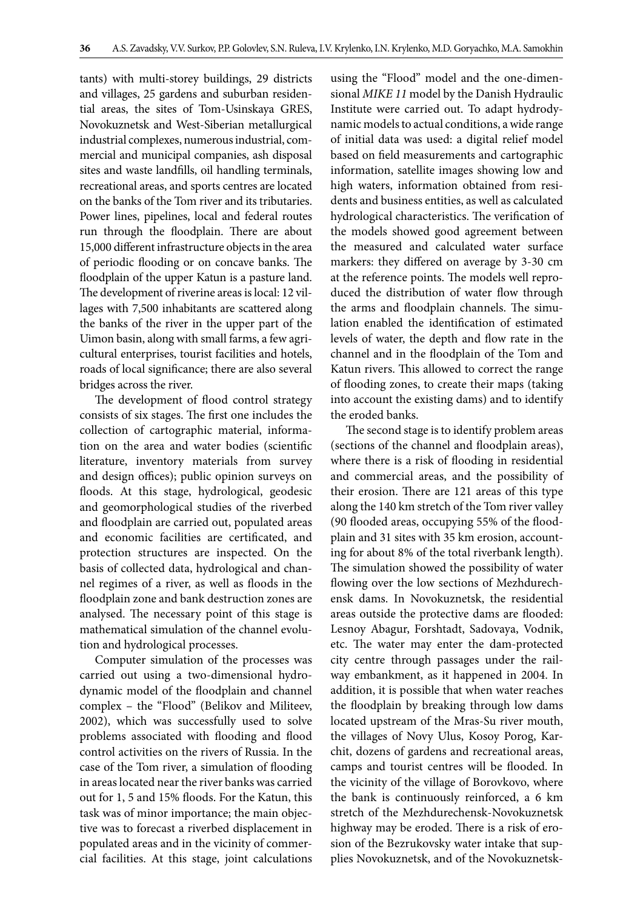tants) with multi-storey buildings, 29 districts and villages, 25 gardens and suburban residential areas, the sites of Tom-Usinskaya GRES, Novokuznetsk and West-Siberian metallurgical industrial complexes, numerous industrial, commercial and municipal companies, ash disposal sites and waste landfills, oil handling terminals, recreational areas, and sports centres are located on the banks of the Tom river and its tributaries. Power lines, pipelines, local and federal routes run through the floodplain. There are about 15,000 different infrastructure objects in the area of periodic flooding or on concave banks. The floodplain of the upper Katun is a pasture land. The development of riverine areas is local: 12 villages with 7,500 inhabitants are scattered along the banks of the river in the upper part of the Uimon basin, along with small farms, a few agricultural enterprises, tourist facilities and hotels, roads of local significance; there are also several bridges across the river.

The development of flood control strategy consists of six stages. The first one includes the collection of cartographic material, information on the area and water bodies (scientific literature, inventory materials from survey and design offices); public opinion surveys on floods. At this stage, hydrological, geodesic and geomorphological studies of the riverbed and floodplain are carried out, populated areas and economic facilities are certificated, and protection structures are inspected. On the basis of collected data, hydrological and channel regimes of a river, as well as floods in the floodplain zone and bank destruction zones are analysed. The necessary point of this stage is mathematical simulation of the channel evolution and hydrological processes.

Computer simulation of the processes was carried out using a two-dimensional hydrodynamic model of the floodplain and channel complex – the "Flood" (Belikov and Militeev, 2002), which was successfully used to solve problems associated with flooding and flood control activities on the rivers of Russia. In the case of the Tom river, a simulation of flooding in areas located near the river banks was carried out for 1, 5 and 15% floods. For the Katun, this task was of minor importance; the main objective was to forecast a riverbed displacement in populated areas and in the vicinity of commercial facilities. At this stage, joint calculations

using the "Flood" model and the one-dimensional *MIKE 11* model by the Danish Hydraulic Institute were carried out. To adapt hydrodynamic models to actual conditions, a wide range of initial data was used: a digital relief model based on field measurements and cartographic information, satellite images showing low and high waters, information obtained from residents and business entities, as well as calculated hydrological characteristics. The verification of the models showed good agreement between the measured and calculated water surface markers: they differed on average by 3-30 cm at the reference points. The models well reproduced the distribution of water flow through the arms and floodplain channels. The simulation enabled the identification of estimated levels of water, the depth and flow rate in the channel and in the floodplain of the Tom and Katun rivers. This allowed to correct the range of flooding zones, to create their maps (taking into account the existing dams) and to identify the eroded banks.

The second stage is to identify problem areas (sections of the channel and floodplain areas), where there is a risk of flooding in residential and commercial areas, and the possibility of their erosion. There are 121 areas of this type along the 140 km stretch of the Tom river valley (90 flooded areas, occupying 55% of the floodplain and 31 sites with 35 km erosion, accounting for about 8% of the total riverbank length). The simulation showed the possibility of water flowing over the low sections of Mezhdurechensk dams. In Novokuznetsk, the residential areas outside the protective dams are flooded: Lesnoy Abagur, Forshtadt, Sadovaya, Vodnik, etc. The water may enter the dam-protected city centre through passages under the railway embankment, as it happened in 2004. In addition, it is possible that when water reaches the floodplain by breaking through low dams located upstream of the Mras-Su river mouth, the villages of Novy Ulus, Kosoy Porog, Karchit, dozens of gardens and recreational areas, camps and tourist centres will be flooded. In the vicinity of the village of Borovkovo, where the bank is continuously reinforced, a 6 km stretch of the Mezhdurechensk-Novokuznetsk highway may be eroded. There is a risk of erosion of the Bezrukovsky water intake that supplies Novokuznetsk, and of the Novokuznetsk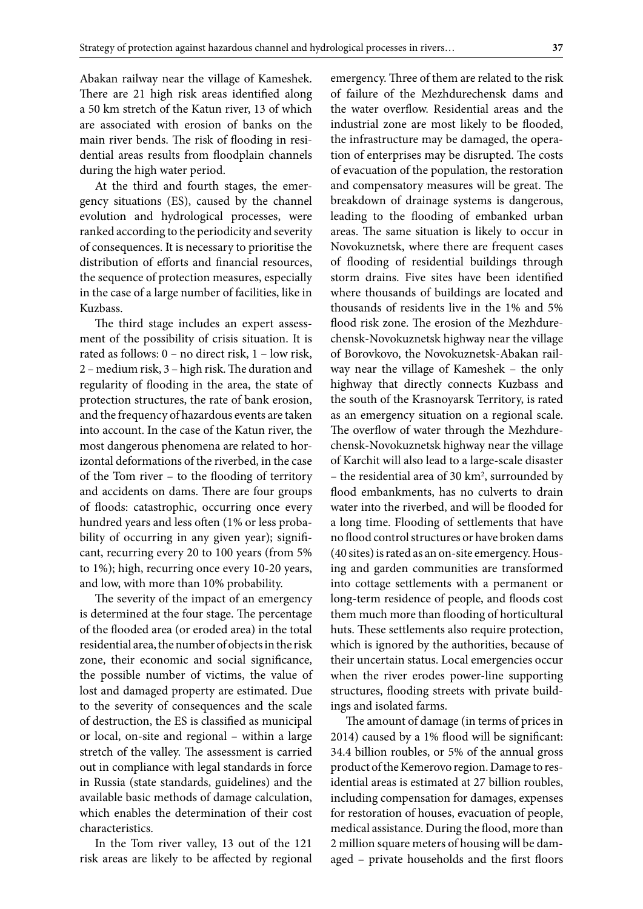Abakan railway near the village of Kameshek. There are 21 high risk areas identified along a 50 km stretch of the Katun river, 13 of which are associated with erosion of banks on the main river bends. The risk of flooding in residential areas results from floodplain channels during the high water period.

At the third and fourth stages, the emergency situations (ES), caused by the channel evolution and hydrological processes, were ranked according to the periodicity and severity of consequences. It is necessary to prioritise the distribution of efforts and financial resources, the sequence of protection measures, especially in the case of a large number of facilities, like in Kuzbass.

The third stage includes an expert assessment of the possibility of crisis situation. It is rated as follows: 0 – no direct risk, 1 – low risk, 2 – medium risk, 3 – high risk. The duration and regularity of flooding in the area, the state of protection structures, the rate of bank erosion, and the frequency of hazardous events are taken into account. In the case of the Katun river, the most dangerous phenomena are related to horizontal deformations of the riverbed, in the case of the Tom river – to the flooding of territory and accidents on dams. There are four groups of floods: catastrophic, occurring once every hundred years and less often (1% or less probability of occurring in any given year); significant, recurring every 20 to 100 years (from 5% to 1%); high, recurring once every 10-20 years, and low, with more than 10% probability.

The severity of the impact of an emergency is determined at the four stage. The percentage of the flooded area (or eroded area) in the total residential area, the number of objects in the risk zone, their economic and social significance, the possible number of victims, the value of lost and damaged property are estimated. Due to the severity of consequences and the scale of destruction, the ES is classified as municipal or local, on-site and regional – within a large stretch of the valley. The assessment is carried out in compliance with legal standards in force in Russia (state standards, guidelines) and the available basic methods of damage calculation, which enables the determination of their cost characteristics.

In the Tom river valley, 13 out of the 121 risk areas are likely to be affected by regional emergency. Three of them are related to the risk of failure of the Mezhdurechensk dams and the water overflow. Residential areas and the industrial zone are most likely to be flooded, the infrastructure may be damaged, the operation of enterprises may be disrupted. The costs of evacuation of the population, the restoration and compensatory measures will be great. The breakdown of drainage systems is dangerous, leading to the flooding of embanked urban areas. The same situation is likely to occur in Novokuznetsk, where there are frequent cases of flooding of residential buildings through storm drains. Five sites have been identified where thousands of buildings are located and thousands of residents live in the 1% and 5% flood risk zone. The erosion of the Mezhdurechensk-Novokuznetsk highway near the village of Borovkovo, the Novokuznetsk-Abakan railway near the village of Kameshek – the only highway that directly connects Kuzbass and the south of the Krasnoyarsk Territory, is rated as an emergency situation on a regional scale. The overflow of water through the Mezhdurechensk-Novokuznetsk highway near the village of Karchit will also lead to a large-scale disaster – the residential area of 30 km<sup>2</sup>, surrounded by flood embankments, has no culverts to drain water into the riverbed, and will be flooded for a long time. Flooding of settlements that have no flood control structures or have broken dams (40 sites) is rated as an on-site emergency. Housing and garden communities are transformed into cottage settlements with a permanent or long-term residence of people, and floods cost them much more than flooding of horticultural huts. These settlements also require protection, which is ignored by the authorities, because of their uncertain status. Local emergencies occur when the river erodes power-line supporting structures, flooding streets with private buildings and isolated farms.

The amount of damage (in terms of prices in 2014) caused by a 1% flood will be significant: 34.4 billion roubles, or 5% of the annual gross product of the Kemerovo region. Damage to residential areas is estimated at 27 billion roubles, including compensation for damages, expenses for restoration of houses, evacuation of people, medical assistance. During the flood, more than 2 million square meters of housing will be damaged – private households and the first floors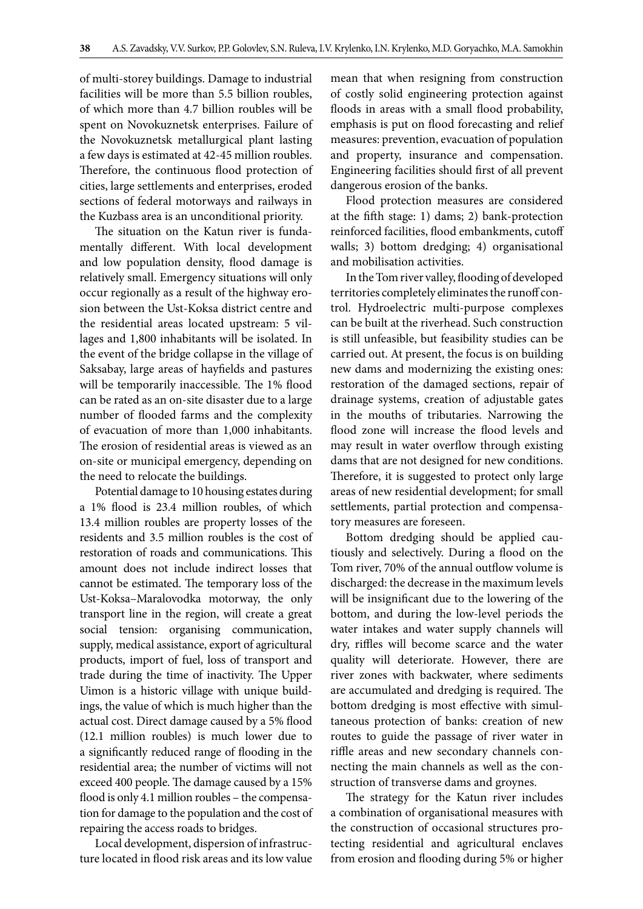of multi-storey buildings. Damage to industrial facilities will be more than 5.5 billion roubles, of which more than 4.7 billion roubles will be spent on Novokuznetsk enterprises. Failure of the Novokuznetsk metallurgical plant lasting a few days is estimated at 42-45 million roubles. Therefore, the continuous flood protection of cities, large settlements and enterprises, eroded sections of federal motorways and railways in the Kuzbass area is an unconditional priority.

The situation on the Katun river is fundamentally different. With local development and low population density, flood damage is relatively small. Emergency situations will only occur regionally as a result of the highway erosion between the Ust-Koksa district centre and the residential areas located upstream: 5 villages and 1,800 inhabitants will be isolated. In the event of the bridge collapse in the village of Saksabay, large areas of hayfields and pastures will be temporarily inaccessible. The 1% flood can be rated as an on-site disaster due to a large number of flooded farms and the complexity of evacuation of more than 1,000 inhabitants. The erosion of residential areas is viewed as an on-site or municipal emergency, depending on the need to relocate the buildings.

Potential damage to 10 housing estates during a 1% flood is 23.4 million roubles, of which 13.4 million roubles are property losses of the residents and 3.5 million roubles is the cost of restoration of roads and communications. This amount does not include indirect losses that cannot be estimated. The temporary loss of the Ust-Koksa–Maralovodka motorway, the only transport line in the region, will create a great social tension: organising communication, supply, medical assistance, export of agricultural products, import of fuel, loss of transport and trade during the time of inactivity. The Upper Uimon is a historic village with unique buildings, the value of which is much higher than the actual cost. Direct damage caused by a 5% flood (12.1 million roubles) is much lower due to a significantly reduced range of flooding in the residential area; the number of victims will not exceed 400 people. The damage caused by a 15% flood is only 4.1 million roubles – the compensation for damage to the population and the cost of repairing the access roads to bridges.

Local development, dispersion of infrastructure located in flood risk areas and its low value mean that when resigning from construction of costly solid engineering protection against floods in areas with a small flood probability, emphasis is put on flood forecasting and relief measures: prevention, evacuation of population and property, insurance and compensation. Engineering facilities should first of all prevent dangerous erosion of the banks.

Flood protection measures are considered at the fifth stage: 1) dams; 2) bank-protection reinforced facilities, flood embankments, cutoff walls; 3) bottom dredging; 4) organisational and mobilisation activities.

In the Tom river valley, flooding of developed territories completely eliminates the runoff control. Hydroelectric multi-purpose complexes can be built at the riverhead. Such construction is still unfeasible, but feasibility studies can be carried out. At present, the focus is on building new dams and modernizing the existing ones: restoration of the damaged sections, repair of drainage systems, creation of adjustable gates in the mouths of tributaries. Narrowing the flood zone will increase the flood levels and may result in water overflow through existing dams that are not designed for new conditions. Therefore, it is suggested to protect only large areas of new residential development; for small settlements, partial protection and compensatory measures are foreseen.

Bottom dredging should be applied cautiously and selectively. During a flood on the Tom river, 70% of the annual outflow volume is discharged: the decrease in the maximum levels will be insignificant due to the lowering of the bottom, and during the low-level periods the water intakes and water supply channels will dry, riffles will become scarce and the water quality will deteriorate. However, there are river zones with backwater, where sediments are accumulated and dredging is required. The bottom dredging is most effective with simultaneous protection of banks: creation of new routes to guide the passage of river water in riffle areas and new secondary channels connecting the main channels as well as the construction of transverse dams and groynes.

The strategy for the Katun river includes a combination of organisational measures with the construction of occasional structures protecting residential and agricultural enclaves from erosion and flooding during 5% or higher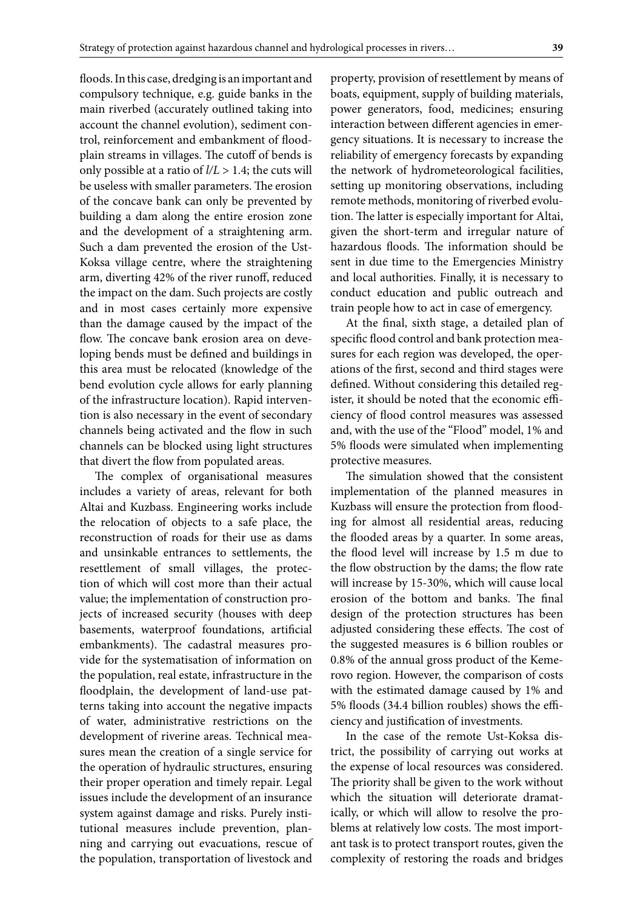floods. In this case, dredging is an important and compulsory technique, e.g. guide banks in the main riverbed (accurately outlined taking into account the channel evolution), sediment control, reinforcement and embankment of floodplain streams in villages. The cutoff of bends is only possible at a ratio of  $l/L > 1.4$ ; the cuts will be useless with smaller parameters. The erosion of the concave bank can only be prevented by building a dam along the entire erosion zone and the development of a straightening arm. Such a dam prevented the erosion of the Ust-Koksa village centre, where the straightening arm, diverting 42% of the river runoff, reduced the impact on the dam. Such projects are costly and in most cases certainly more expensive than the damage caused by the impact of the flow. The concave bank erosion area on developing bends must be defined and buildings in this area must be relocated (knowledge of the bend evolution cycle allows for early planning of the infrastructure location). Rapid intervention is also necessary in the event of secondary channels being activated and the flow in such channels can be blocked using light structures that divert the flow from populated areas.

The complex of organisational measures includes a variety of areas, relevant for both Altai and Kuzbass. Engineering works include the relocation of objects to a safe place, the reconstruction of roads for their use as dams and unsinkable entrances to settlements, the resettlement of small villages, the protection of which will cost more than their actual value; the implementation of construction projects of increased security (houses with deep basements, waterproof foundations, artificial embankments). The cadastral measures provide for the systematisation of information on the population, real estate, infrastructure in the floodplain, the development of land-use patterns taking into account the negative impacts of water, administrative restrictions on the development of riverine areas. Technical measures mean the creation of a single service for the operation of hydraulic structures, ensuring their proper operation and timely repair. Legal issues include the development of an insurance system against damage and risks. Purely institutional measures include prevention, planning and carrying out evacuations, rescue of the population, transportation of livestock and

property, provision of resettlement by means of boats, equipment, supply of building materials, power generators, food, medicines; ensuring interaction between different agencies in emergency situations. It is necessary to increase the reliability of emergency forecasts by expanding the network of hydrometeorological facilities, setting up monitoring observations, including remote methods, monitoring of riverbed evolution. The latter is especially important for Altai, given the short-term and irregular nature of hazardous floods. The information should be sent in due time to the Emergencies Ministry and local authorities. Finally, it is necessary to conduct education and public outreach and train people how to act in case of emergency.

At the final, sixth stage, a detailed plan of specific flood control and bank protection measures for each region was developed, the operations of the first, second and third stages were defined. Without considering this detailed register, it should be noted that the economic efficiency of flood control measures was assessed and, with the use of the "Flood" model, 1% and 5% floods were simulated when implementing protective measures.

The simulation showed that the consistent implementation of the planned measures in Kuzbass will ensure the protection from flooding for almost all residential areas, reducing the flooded areas by a quarter. In some areas, the flood level will increase by 1.5 m due to the flow obstruction by the dams; the flow rate will increase by 15-30%, which will cause local erosion of the bottom and banks. The final design of the protection structures has been adjusted considering these effects. The cost of the suggested measures is 6 billion roubles or 0.8% of the annual gross product of the Kemerovo region. However, the comparison of costs with the estimated damage caused by 1% and 5% floods (34.4 billion roubles) shows the efficiency and justification of investments.

In the case of the remote Ust-Koksa district, the possibility of carrying out works at the expense of local resources was considered. The priority shall be given to the work without which the situation will deteriorate dramatically, or which will allow to resolve the problems at relatively low costs. The most important task is to protect transport routes, given the complexity of restoring the roads and bridges